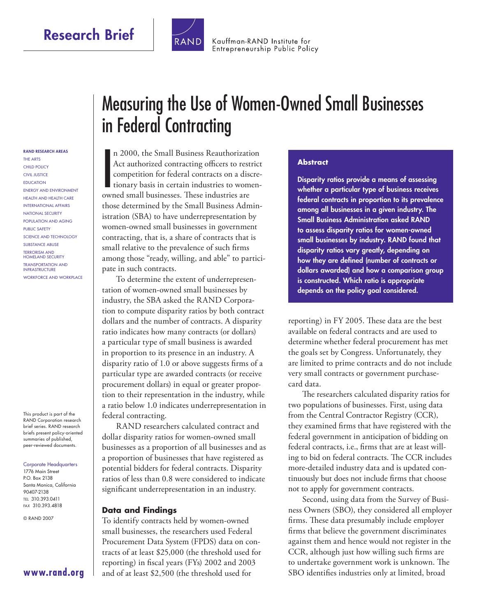

Kauffman-RAND Institute for Entrepreneurship Public Policy

#### **RAND RESEARCH AREAS**

THE ARTS CHILD POLICY CIVIL JUSTICE EDUCATION ENERGY AND ENVIRONMENT HEALTH AND HEALTH CARE INTERNATIONAL AFFAIRS NATIONAL SECURITY POPULATION AND AGING PUBLIC SAFETY SCIENCE AND TECHNOLOGY SUBSTANCE ABUSE TERRORISM AND HOMELAND SECURITY TRANSPORTATION AND INFRASTRUCTURE WORKFORCE AND WORKPLACE

This product is part of the RAND Corporation research brief series. RAND research briefs present policy-oriented summaries of published, peer-reviewed documents.

#### Corporate Headquarters 1776 Main Street

P.O. Box 2138 Santa Monica, California 90407-2138 TEL 310.393.0411 FAX 310.393.4818

© RAND 2007

# Measuring the Use of Women-Owned Small Businesses in Federal Contracting

n 2000, the Small Business Reauthorizati<br>Act authorized contracting officers to rest<br>competition for federal contracts on a disc<br>tionary basis in certain industries to wom<br>owned small businesses. These industries are n 2000, the Small Business Reauthorization Act authorized contracting officers to restrict competition for federal contracts on a discretionary basis in certain industries to womenthose determined by the Small Business Administration (SBA) to have underrepresentation by women-owned small businesses in government contracting, that is, a share of contracts that is small relative to the prevalence of such firms among those "ready, willing, and able" to participate in such contracts.

To determine the extent of underrepresentation of women-owned small businesses by industry, the SBA asked the RAND Corporation to compute disparity ratios by both contract dollars and the number of contracts. A disparity ratio indicates how many contracts (or dollars) a particular type of small business is awarded in proportion to its presence in an industry. A disparity ratio of  $1.0$  or above suggests firms of a particular type are awarded contracts (or receive procurement dollars) in equal or greater proportion to their representation in the industry, while a ratio below 1.0 indicates underrepresentation in federal contracting.

RAND researchers calculated contract and dollar disparity ratios for women-owned small businesses as a proportion of all businesses and as a proportion of businesses that have registered as potential bidders for federal contracts. Disparity ratios of less than 0.8 were considered to indicate significant underrepresentation in an industry.

#### **Data and Findings**

To identify contracts held by women-owned small businesses, the researchers used Federal Procurement Data System (FPDS) data on contracts of at least \$25,000 (the threshold used for reporting) in fiscal years (FYs)  $2002$  and  $2003$ and of at least \$2,500 (the threshold used for

#### **Abstract**

**Disparity ratios provide a means of assessing whether a particular type of business receives federal contracts in proportion to its prevalence among all businesses in a given industry. The Small Business Administration asked RAND to assess disparity ratios for women-owned small businesses by industry. RAND found that disparity ratios vary greatly, depending on**  how they are defined (number of contracts or **dollars awarded) and how a comparison group is constructed. Which ratio is appropriate depends on the policy goal considered.** 

reporting) in FY 2005. These data are the best available on federal contracts and are used to determine whether federal procurement has met the goals set by Congress. Unfortunately, they are limited to prime contracts and do not include very small contracts or government purchasecard data.

The researchers calculated disparity ratios for two populations of businesses. First, using data from the Central Contractor Registry (CCR), they examined firms that have registered with the federal government in anticipation of bidding on federal contracts, i.e., firms that are at least willing to bid on federal contracts. The CCR includes more-detailed industry data and is updated continuously but does not include firms that choose not to apply for government contracts.

Second, using data from the Survey of Business Owners (SBO), they considered all employer firms. These data presumably include employer firms that believe the government discriminates against them and hence would not register in the CCR, although just how willing such firms are to undertake government work is unknown. The SBO identifies industries only at limited, broad

**[www.rand.org](http://www.rand.org)**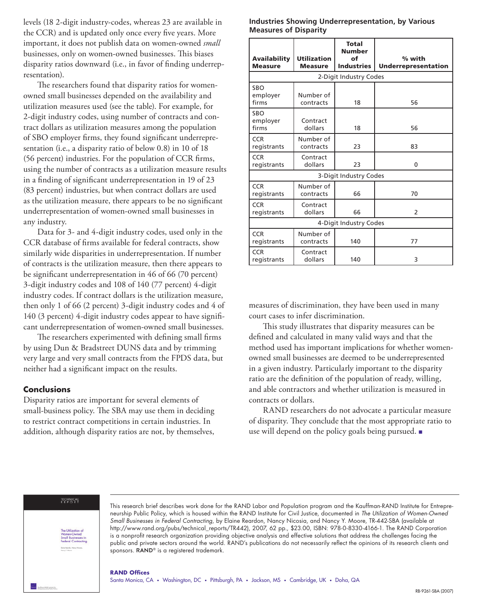levels (18 2-digit industry-codes, whereas 23 are available in the CCR) and is updated only once every five years. More important, it does not publish data on women-owned *small* businesses, only on women-owned businesses. This biases disparity ratios downward (i.e., in favor of finding underrepresentation).

The researchers found that disparity ratios for womenowned small businesses depended on the availability and utilization measures used (see the table). For example, for 2-digit industry codes, using number of contracts and contract dollars as utilization measures among the population of SBO employer firms, they found significant underrepresentation (i.e., a disparity ratio of below 0.8) in 10 of 18 (56 percent) industries. For the population of CCR firms, using the number of contracts as a utilization measure results in a finding of significant underrepresentation in 19 of 23 (83 percent) industries, but when contract dollars are used as the utilization measure, there appears to be no significant underrepresentation of women-owned small businesses in any industry.

Data for 3- and 4-digit industry codes, used only in the CCR database of firms available for federal contracts, show similarly wide disparities in underrepresentation. If number of contracts is the utilization measure, then there appears to be significant underrepresentation in 46 of 66 (70 percent) 3-digit industry codes and 108 of 140 (77 percent) 4-digit industry codes. If contract dollars is the utilization measure, then only 1 of 66 (2 percent) 3-digit industry codes and 4 of 140 (3 percent) 4-digit industry codes appear to have significant underrepresentation of women-owned small businesses.

The researchers experimented with defining small firms by using Dun & Bradstreet DUNS data and by trimming very large and very small contracts from the FPDS data, but neither had a significant impact on the results.

### **Conclusions**

Disparity ratios are important for several elements of small-business policy. The SBA may use them in deciding to restrict contract competitions in certain industries. In addition, although disparity ratios are not, by themselves,

#### **Industries Showing Underrepresentation, by Various Measures of Disparity**

| <b>Availability</b><br><b>Measure</b> | <b>Utilization</b><br><b>Measure</b> | <b>Total</b><br><b>Number</b><br>of<br><b>Industries</b> | % with<br><b>Underrepresentation</b> |
|---------------------------------------|--------------------------------------|----------------------------------------------------------|--------------------------------------|
| 2-Digit Industry Codes                |                                      |                                                          |                                      |
| SBO<br>employer<br>firms              | Number of<br>contracts               | 18                                                       | 56                                   |
| <b>SRO</b><br>employer<br>firms       | Contract<br>dollars                  | 18                                                       | 56                                   |
| <b>CCR</b><br>registrants             | Number of<br>contracts               | 23                                                       | 83                                   |
| <b>CCR</b><br>registrants             | Contract<br>dollars                  | 23                                                       | 0                                    |
| 3-Digit Industry Codes                |                                      |                                                          |                                      |
| <b>CCR</b><br>registrants             | Number of<br>contracts               | 66                                                       | 70                                   |
| <b>CCR</b><br>registrants             | Contract<br>dollars                  | 66                                                       | 2                                    |
| 4-Digit Industry Codes                |                                      |                                                          |                                      |
| <b>CCR</b><br>registrants             | Number of<br>contracts               | 140                                                      | 77                                   |
| <b>CCR</b><br>registrants             | Contract<br>dollars                  | 140                                                      | 3                                    |

measures of discrimination, they have been used in many court cases to infer discrimination.

This study illustrates that disparity measures can be defined and calculated in many valid ways and that the method used has important implications for whether womenowned small businesses are deemed to be underrepresented in a given industry. Particularly important to the disparity ratio are the definition of the population of ready, willing, and able contractors and whether utilization is measured in contracts or dollars.

RAND researchers do not advocate a particular measure of disparity. They conclude that the most appropriate ratio to use will depend on the policy goals being pursued. ■

#### TECHNICAL<br>REPORT



This research brief describes work done for the RAND Labor and Population program and the Kauffman-RAND Institute for Entrepreneurship Public Policy, which is housed within the RAND Institute for Civil Justice, documented in The Utilization of Women-Owned Small Businesses in Federal Contracting, by Elaine Reardon, Nancy Nicosia, and Nancy Y. Moore, TR-442-SBA (available at [http://www.rand.org/pubs/technical\\_reports/TR442\),](http://www.rand.org/pubs/technical_reports/TR442/) 2007, 62 pp., \$23.00, ISBN: 978-0-8330-4166-1. The RAND Corporation is a nonprofit research organization providing objective analysis and effective solutions that address the challenges facing the public and private sectors around the world. RAND's publications do not necessarily reflect the opinions of its research clients and sponsors. RAND<sup>®</sup> is a registered trademark.

#### **RAND Offices**

Santa Monica, CA • Washington, DC • Pittsburgh, PA • Jackson, MS • Cambridge, UK • Doha, QA